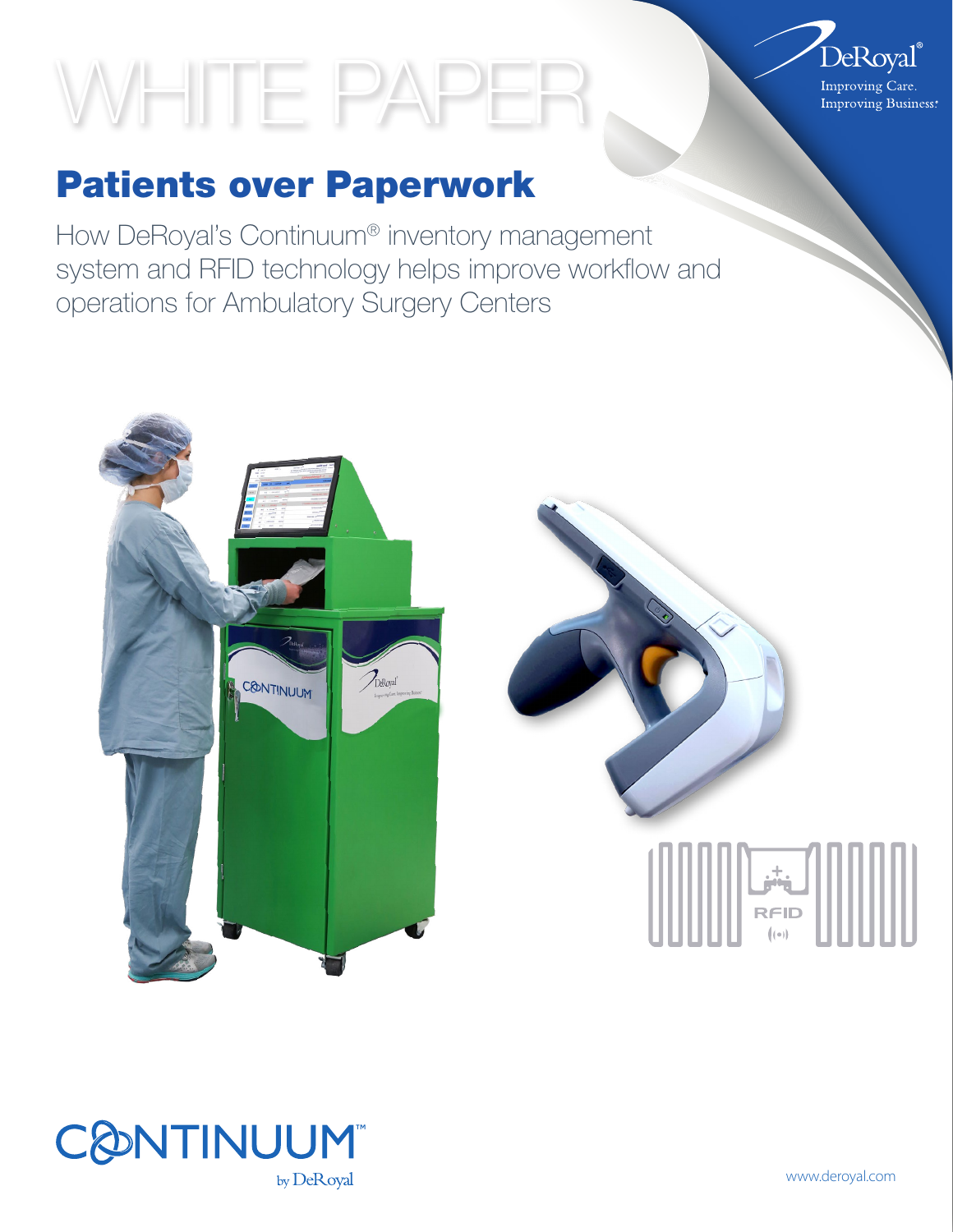# WHITE PAPER



How DeRoyal's Continuum® inventory management system and RFID technology helps improve workflow and operations for Ambulatory Surgery Centers







www.deroyal.com

 $DeRoyal<sup>°</sup>$ Improving Care. **Improving Business**: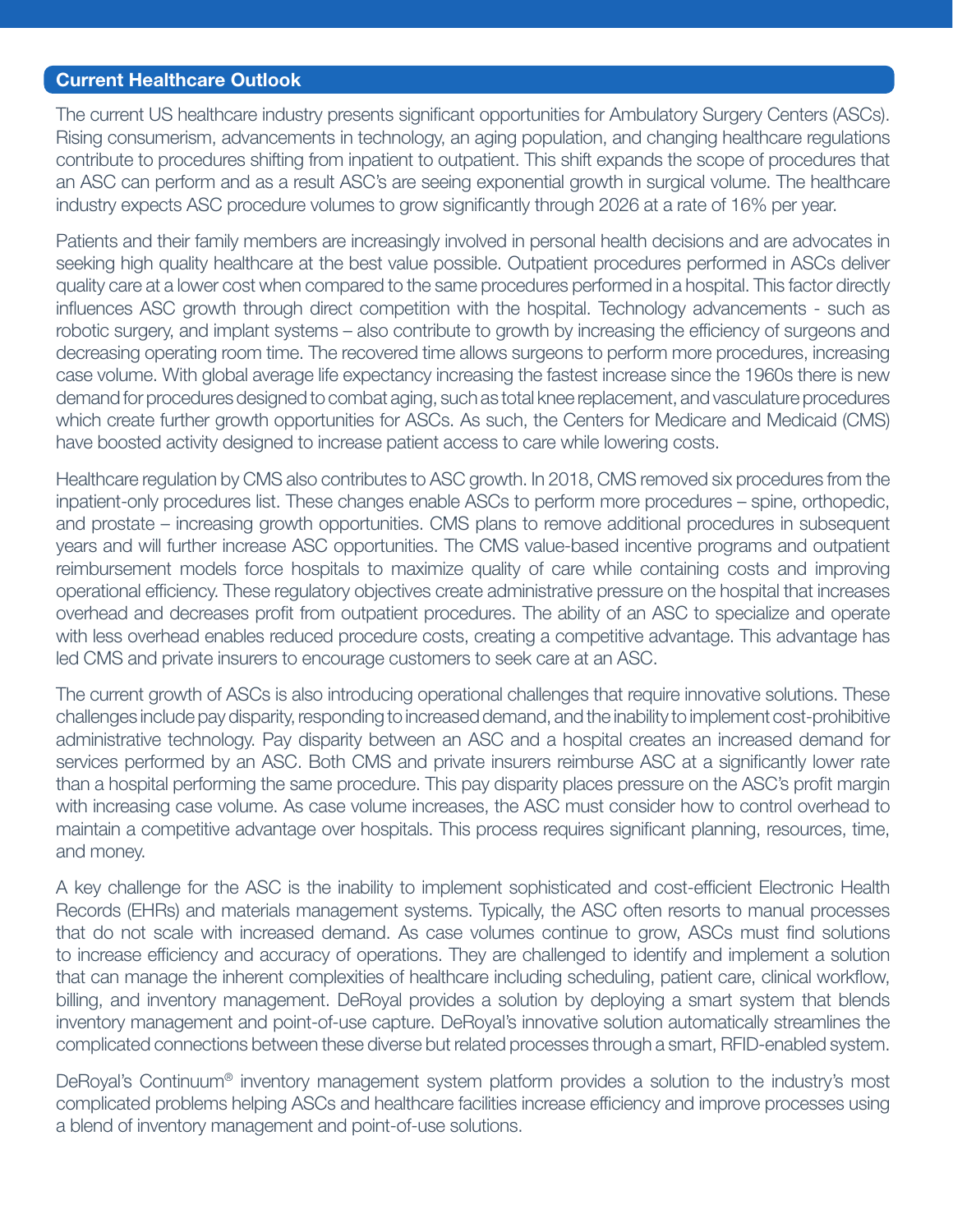#### Current Healthcare Outlook

The current US healthcare industry presents significant opportunities for Ambulatory Surgery Centers (ASCs). Rising consumerism, advancements in technology, an aging population, and changing healthcare regulations contribute to procedures shifting from inpatient to outpatient. This shift expands the scope of procedures that an ASC can perform and as a result ASC's are seeing exponential growth in surgical volume. The healthcare industry expects ASC procedure volumes to grow significantly through 2026 at a rate of 16% per year.

Patients and their family members are increasingly involved in personal health decisions and are advocates in seeking high quality healthcare at the best value possible. Outpatient procedures performed in ASCs deliver quality care at a lower cost when compared to the same procedures performed in a hospital. This factor directly influences ASC growth through direct competition with the hospital. Technology advancements - such as robotic surgery, and implant systems – also contribute to growth by increasing the efficiency of surgeons and decreasing operating room time. The recovered time allows surgeons to perform more procedures, increasing case volume. With global average life expectancy increasing the fastest increase since the 1960s there is new demand for procedures designed to combat aging, such as total knee replacement, and vasculature procedures which create further growth opportunities for ASCs. As such, the Centers for Medicare and Medicaid (CMS) have boosted activity designed to increase patient access to care while lowering costs.

Healthcare regulation by CMS also contributes to ASC growth. In 2018, CMS removed six procedures from the inpatient-only procedures list. These changes enable ASCs to perform more procedures – spine, orthopedic, and prostate – increasing growth opportunities. CMS plans to remove additional procedures in subsequent years and will further increase ASC opportunities. The CMS value-based incentive programs and outpatient reimbursement models force hospitals to maximize quality of care while containing costs and improving operational efficiency. These regulatory objectives create administrative pressure on the hospital that increases overhead and decreases profit from outpatient procedures. The ability of an ASC to specialize and operate with less overhead enables reduced procedure costs, creating a competitive advantage. This advantage has led CMS and private insurers to encourage customers to seek care at an ASC.

The current growth of ASCs is also introducing operational challenges that require innovative solutions. These challenges include pay disparity, responding to increased demand, and the inability to implement cost-prohibitive administrative technology. Pay disparity between an ASC and a hospital creates an increased demand for services performed by an ASC. Both CMS and private insurers reimburse ASC at a significantly lower rate than a hospital performing the same procedure. This pay disparity places pressure on the ASC's profit margin with increasing case volume. As case volume increases, the ASC must consider how to control overhead to maintain a competitive advantage over hospitals. This process requires significant planning, resources, time, and money.

A key challenge for the ASC is the inability to implement sophisticated and cost-efficient Electronic Health Records (EHRs) and materials management systems. Typically, the ASC often resorts to manual processes that do not scale with increased demand. As case volumes continue to grow, ASCs must find solutions to increase efficiency and accuracy of operations. They are challenged to identify and implement a solution that can manage the inherent complexities of healthcare including scheduling, patient care, clinical workflow, billing, and inventory management. DeRoyal provides a solution by deploying a smart system that blends inventory management and point-of-use capture. DeRoyal's innovative solution automatically streamlines the complicated connections between these diverse but related processes through a smart, RFID-enabled system.

DeRoyal's Continuum® inventory management system platform provides a solution to the industry's most complicated problems helping ASCs and healthcare facilities increase efficiency and improve processes using a blend of inventory management and point-of-use solutions.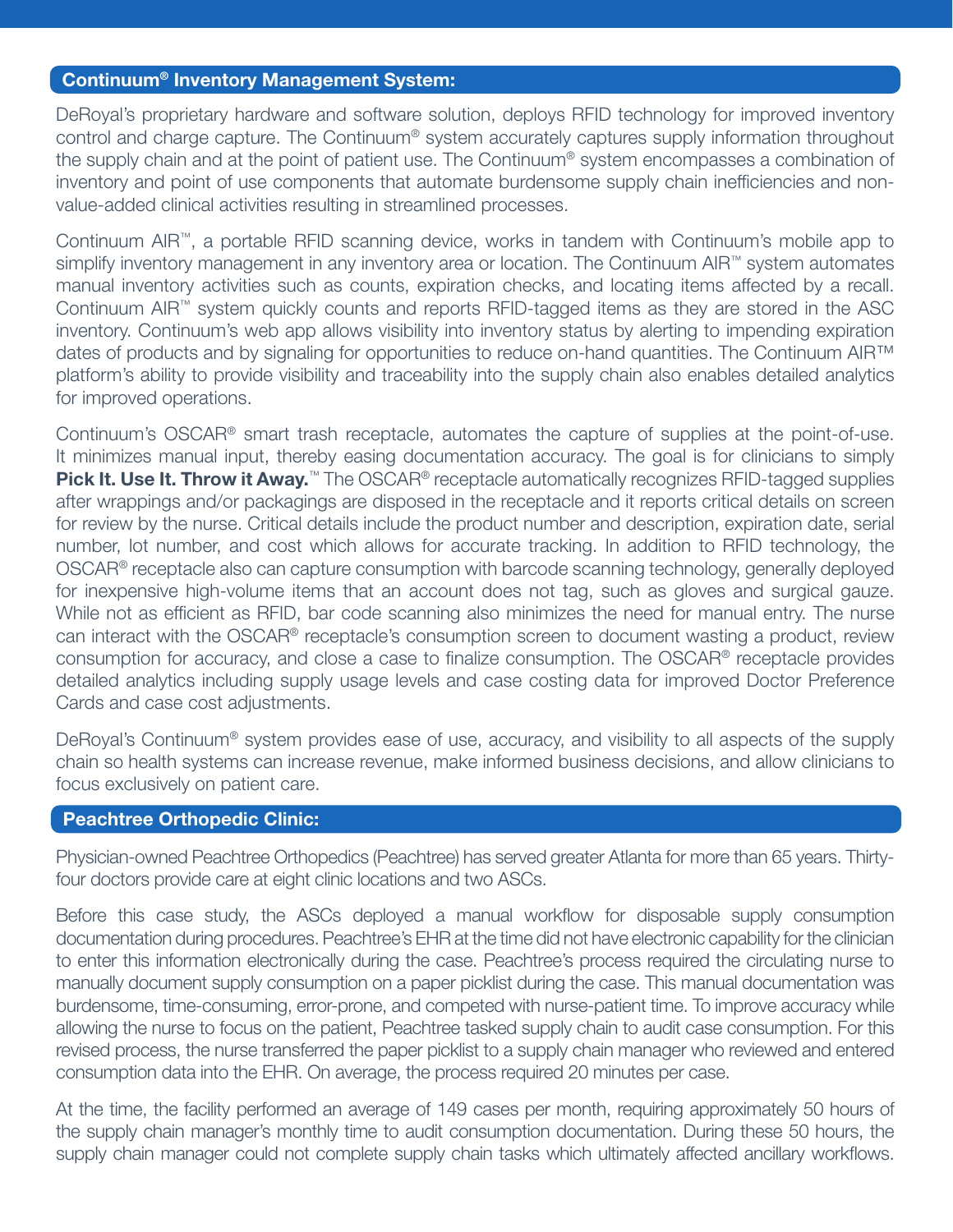#### Continuum® Inventory Management System:

DeRoyal's proprietary hardware and software solution, deploys RFID technology for improved inventory control and charge capture. The Continuum® system accurately captures supply information throughout the supply chain and at the point of patient use. The Continuum® system encompasses a combination of inventory and point of use components that automate burdensome supply chain inefficiencies and nonvalue-added clinical activities resulting in streamlined processes.

Continuum AIR™, a portable RFID scanning device, works in tandem with Continuum's mobile app to simplify inventory management in any inventory area or location. The Continuum AIR™ system automates manual inventory activities such as counts, expiration checks, and locating items affected by a recall. Continuum AIR™ system quickly counts and reports RFID-tagged items as they are stored in the ASC inventory. Continuum's web app allows visibility into inventory status by alerting to impending expiration dates of products and by signaling for opportunities to reduce on-hand quantities. The Continuum AIR™ platform's ability to provide visibility and traceability into the supply chain also enables detailed analytics for improved operations.

Continuum's OSCAR® smart trash receptacle, automates the capture of supplies at the point-of-use. It minimizes manual input, thereby easing documentation accuracy. The goal is for clinicians to simply Pick It. Use It. Throw it Away.<sup>™</sup> The OSCAR<sup>®</sup> receptacle automatically recognizes RFID-tagged supplies after wrappings and/or packagings are disposed in the receptacle and it reports critical details on screen for review by the nurse. Critical details include the product number and description, expiration date, serial number, lot number, and cost which allows for accurate tracking. In addition to RFID technology, the OSCAR® receptacle also can capture consumption with barcode scanning technology, generally deployed for inexpensive high-volume items that an account does not tag, such as gloves and surgical gauze. While not as efficient as RFID, bar code scanning also minimizes the need for manual entry. The nurse can interact with the OSCAR® receptacle's consumption screen to document wasting a product, review consumption for accuracy, and close a case to finalize consumption. The OSCAR® receptacle provides detailed analytics including supply usage levels and case costing data for improved Doctor Preference Cards and case cost adjustments.

DeRoyal's Continuum® system provides ease of use, accuracy, and visibility to all aspects of the supply chain so health systems can increase revenue, make informed business decisions, and allow clinicians to focus exclusively on patient care.

#### Peachtree Orthopedic Clinic:

Physician-owned Peachtree Orthopedics (Peachtree) has served greater Atlanta for more than 65 years. Thirtyfour doctors provide care at eight clinic locations and two ASCs.

Before this case study, the ASCs deployed a manual workflow for disposable supply consumption documentation during procedures. Peachtree's EHR at the time did not have electronic capability for the clinician to enter this information electronically during the case. Peachtree's process required the circulating nurse to manually document supply consumption on a paper picklist during the case. This manual documentation was burdensome, time-consuming, error-prone, and competed with nurse-patient time. To improve accuracy while allowing the nurse to focus on the patient, Peachtree tasked supply chain to audit case consumption. For this revised process, the nurse transferred the paper picklist to a supply chain manager who reviewed and entered consumption data into the EHR. On average, the process required 20 minutes per case.

At the time, the facility performed an average of 149 cases per month, requiring approximately 50 hours of the supply chain manager's monthly time to audit consumption documentation. During these 50 hours, the supply chain manager could not complete supply chain tasks which ultimately affected ancillary workflows.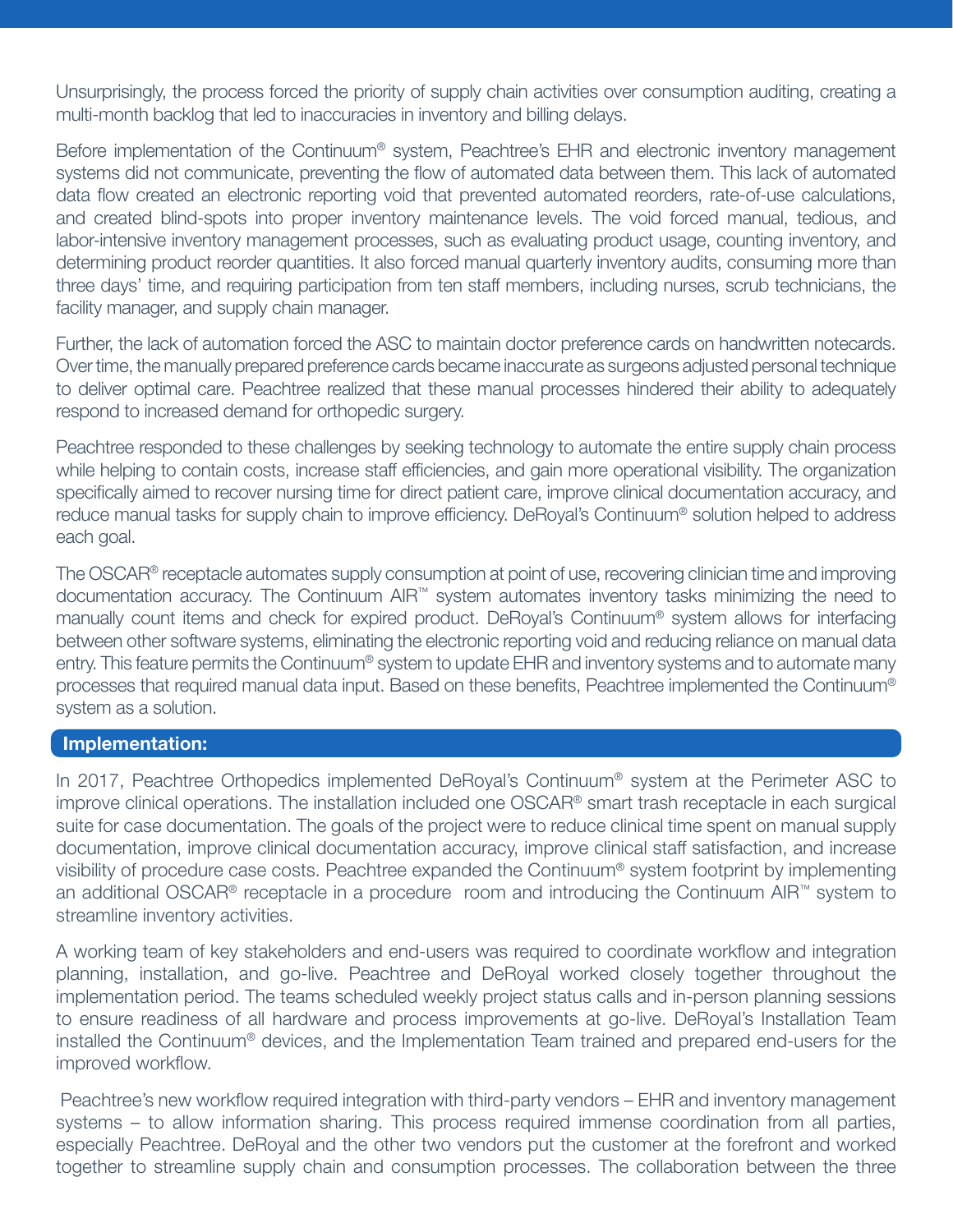Unsurprisingly, the process forced the priority of supply chain activities over consumption auditing, creating a multi-month backlog that led to inaccuracies in inventory and billing delays.

Before implementation of the Continuum<sup>®</sup> system, Peachtree's EHR and electronic inventory management systems did not communicate, preventing the flow of automated data between them. This lack of automated data flow created an electronic reporting void that prevented automated reorders, rate-of-use calculations, and created blind-spots into proper inventory maintenance levels. The void forced manual, tedious, and labor-intensive inventory management processes, such as evaluating product usage, counting inventory, and determining product reorder quantities. It also forced manual quarterly inventory audits, consuming more than three days' time, and requiring participation from ten staff members, including nurses, scrub technicians, the facility manager, and supply chain manager.

Further, the lack of automation forced the ASC to maintain doctor preference cards on handwritten notecards. Over time, the manually prepared preference cards became inaccurate as surgeons adjusted personal technique to deliver optimal care. Peachtree realized that these manual processes hindered their ability to adequately respond to increased demand for orthopedic surgery.

Peachtree responded to these challenges by seeking technology to automate the entire supply chain process while helping to contain costs, increase staff efficiencies, and gain more operational visibility. The organization specifically aimed to recover nursing time for direct patient care, improve clinical documentation accuracy, and reduce manual tasks for supply chain to improve efficiency. DeRoyal's Continuum® solution helped to address each goal.

The OSCAR® receptacle automates supply consumption at point of use, recovering clinician time and improving documentation accuracy. The Continuum AIR™ system automates inventory tasks minimizing the need to manually count items and check for expired product. DeRoyal's Continuum® system allows for interfacing between other software systems, eliminating the electronic reporting void and reducing reliance on manual data entry. This feature permits the Continuum® system to update EHR and inventory systems and to automate many processes that required manual data input. Based on these benefits, Peachtree implemented the Continuum® system as a solution.

#### Implementation:

In 2017, Peachtree Orthopedics implemented DeRoyal's Continuum® system at the Perimeter ASC to improve clinical operations. The installation included one OSCAR® smart trash receptacle in each surgical suite for case documentation. The goals of the project were to reduce clinical time spent on manual supply documentation, improve clinical documentation accuracy, improve clinical staff satisfaction, and increase visibility of procedure case costs. Peachtree expanded the Continuum® system footprint by implementing an additional OSCAR® receptacle in a procedure room and introducing the Continuum AIR™ system to streamline inventory activities.

A working team of key stakeholders and end-users was required to coordinate workflow and integration planning, installation, and go-live. Peachtree and DeRoyal worked closely together throughout the implementation period. The teams scheduled weekly project status calls and in-person planning sessions to ensure readiness of all hardware and process improvements at go-live. DeRoyal's Installation Team installed the Continuum® devices, and the Implementation Team trained and prepared end-users for the improved workflow.

 Peachtree's new workflow required integration with third-party vendors – EHR and inventory management systems – to allow information sharing. This process required immense coordination from all parties, especially Peachtree. DeRoyal and the other two vendors put the customer at the forefront and worked together to streamline supply chain and consumption processes. The collaboration between the three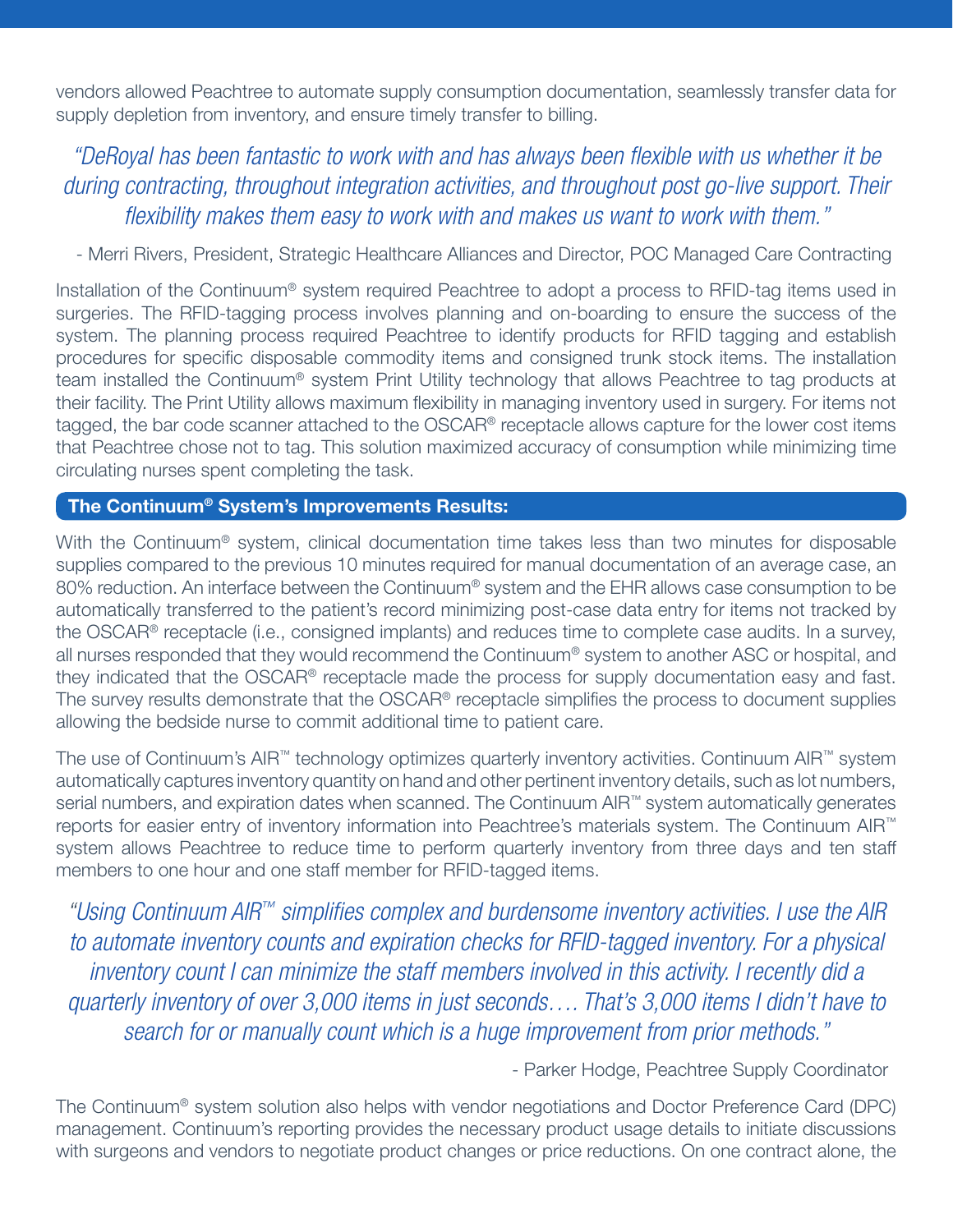vendors allowed Peachtree to automate supply consumption documentation, seamlessly transfer data for supply depletion from inventory, and ensure timely transfer to billing.

## *"DeRoyal has been fantastic to work with and has always been flexible with us whether it be during contracting, throughout integration activities, and throughout post go-live support. Their flexibility makes them easy to work with and makes us want to work with them."*

- Merri Rivers, President, Strategic Healthcare Alliances and Director, POC Managed Care Contracting

Installation of the Continuum® system required Peachtree to adopt a process to RFID-tag items used in surgeries. The RFID-tagging process involves planning and on-boarding to ensure the success of the system. The planning process required Peachtree to identify products for RFID tagging and establish procedures for specific disposable commodity items and consigned trunk stock items. The installation team installed the Continuum® system Print Utility technology that allows Peachtree to tag products at their facility. The Print Utility allows maximum flexibility in managing inventory used in surgery. For items not tagged, the bar code scanner attached to the OSCAR® receptacle allows capture for the lower cost items that Peachtree chose not to tag. This solution maximized accuracy of consumption while minimizing time circulating nurses spent completing the task.

### The Continuum® System's Improvements Results:

With the Continuum<sup>®</sup> system, clinical documentation time takes less than two minutes for disposable supplies compared to the previous 10 minutes required for manual documentation of an average case, an 80% reduction. An interface between the Continuum<sup>®</sup> system and the EHR allows case consumption to be automatically transferred to the patient's record minimizing post-case data entry for items not tracked by the OSCAR® receptacle (i.e., consigned implants) and reduces time to complete case audits. In a survey, all nurses responded that they would recommend the Continuum® system to another ASC or hospital, and they indicated that the OSCAR® receptacle made the process for supply documentation easy and fast. The survey results demonstrate that the OSCAR® receptacle simplifies the process to document supplies allowing the bedside nurse to commit additional time to patient care.

The use of Continuum's AIR™ technology optimizes quarterly inventory activities. Continuum AIR™ system automatically captures inventory quantity on hand and other pertinent inventory details, such as lot numbers, serial numbers, and expiration dates when scanned. The Continuum AIR™ system automatically generates reports for easier entry of inventory information into Peachtree's materials system. The Continuum AIR™ system allows Peachtree to reduce time to perform quarterly inventory from three days and ten staff members to one hour and one staff member for RFID-tagged items.

*"Using Continuum AIR™ simplifies complex and burdensome inventory activities. I use the AIR to automate inventory counts and expiration checks for RFID-tagged inventory. For a physical inventory count I can minimize the staff members involved in this activity. I recently did a quarterly inventory of over 3,000 items in just seconds…. That's 3,000 items I didn't have to search for or manually count which is a huge improvement from prior methods."*

- Parker Hodge, Peachtree Supply Coordinator

The Continuum® system solution also helps with vendor negotiations and Doctor Preference Card (DPC) management. Continuum's reporting provides the necessary product usage details to initiate discussions with surgeons and vendors to negotiate product changes or price reductions. On one contract alone, the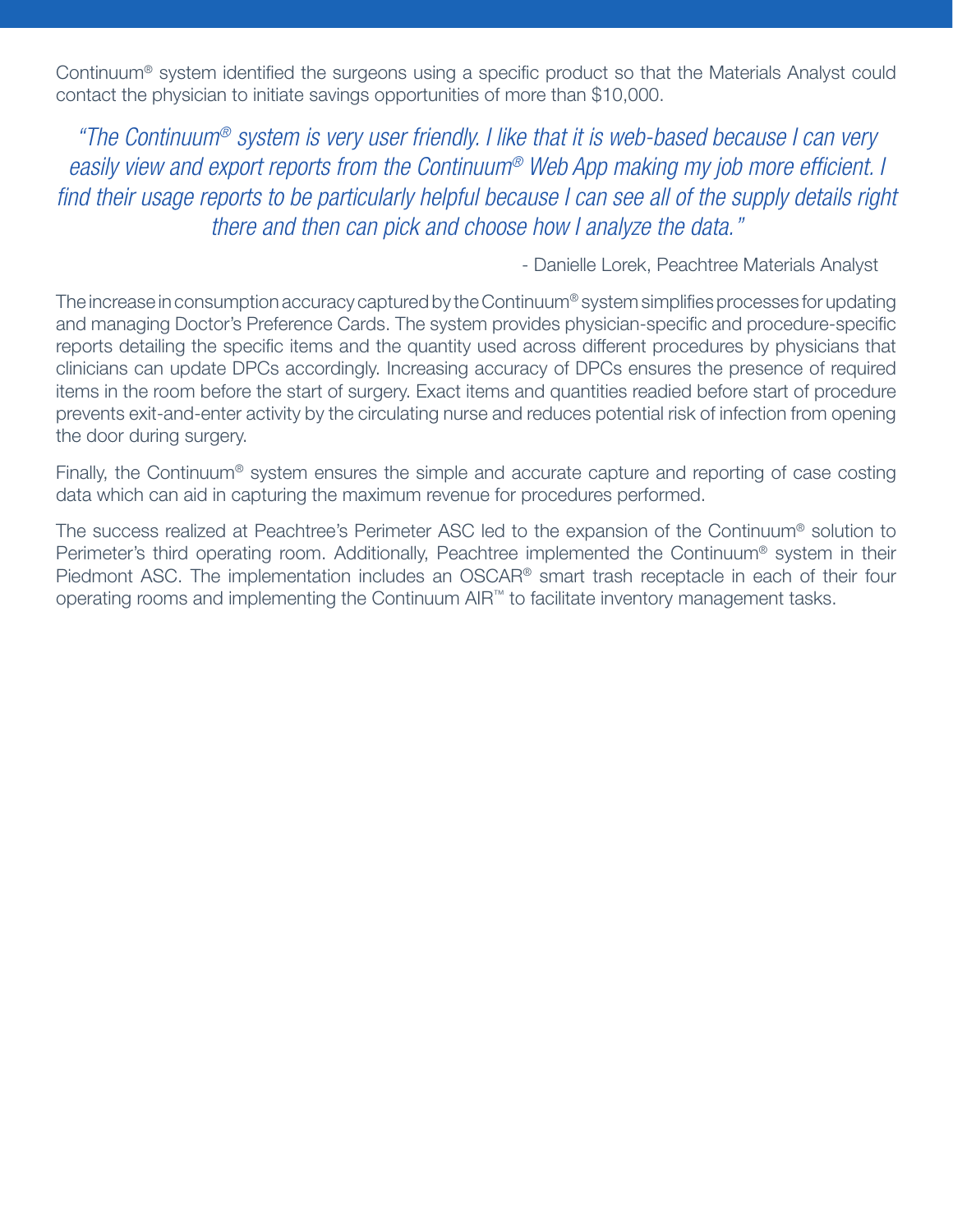Continuum® system identified the surgeons using a specific product so that the Materials Analyst could contact the physician to initiate savings opportunities of more than \$10,000.

*"The Continuum® system is very user friendly. I like that it is web-based because I can very easily view and export reports from the Continuum® Web App making my job more efficient. I find their usage reports to be particularly helpful because I can see all of the supply details right there and then can pick and choose how I analyze the data."*

- Danielle Lorek, Peachtree Materials Analyst

The increase in consumption accuracy captured by the Continuum® system simplifies processes for updating and managing Doctor's Preference Cards. The system provides physician-specific and procedure-specific reports detailing the specific items and the quantity used across different procedures by physicians that clinicians can update DPCs accordingly. Increasing accuracy of DPCs ensures the presence of required items in the room before the start of surgery. Exact items and quantities readied before start of procedure prevents exit-and-enter activity by the circulating nurse and reduces potential risk of infection from opening the door during surgery.

Finally, the Continuum® system ensures the simple and accurate capture and reporting of case costing data which can aid in capturing the maximum revenue for procedures performed.

The success realized at Peachtree's Perimeter ASC led to the expansion of the Continuum® solution to Perimeter's third operating room. Additionally, Peachtree implemented the Continuum® system in their Piedmont ASC. The implementation includes an OSCAR® smart trash receptacle in each of their four operating rooms and implementing the Continuum AIR™ to facilitate inventory management tasks.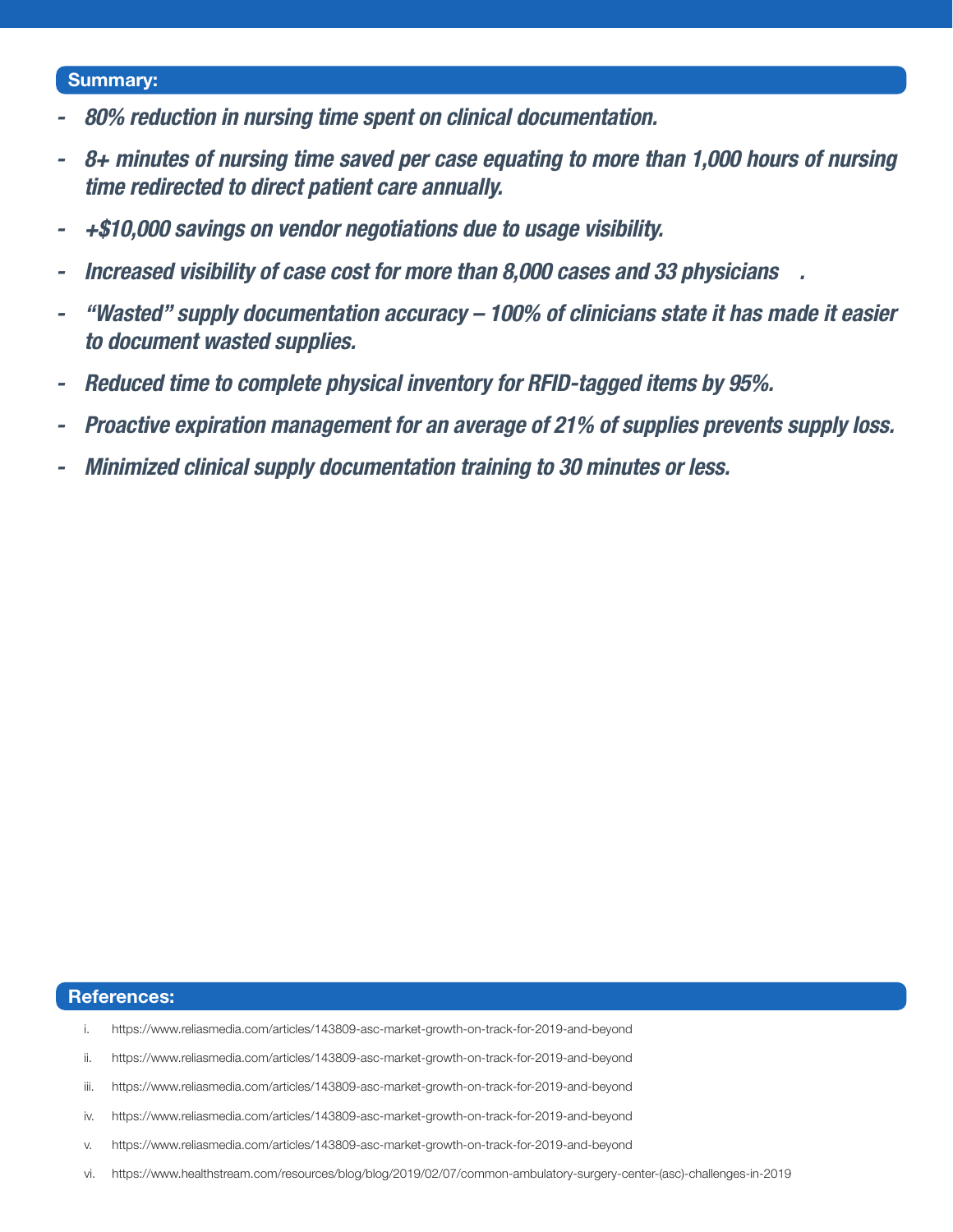#### Summary:

- *- 80% reduction in nursing time spent on clinical documentation.*
- *- 8+ minutes of nursing time saved per case equating to more than 1,000 hours of nursing time redirected to direct patient care annually.*
- *- +\$10,000 savings on vendor negotiations due to usage visibility.*
- *- Increased visibility of case cost for more than 8,000 cases and 33 physicians .*
- *- "Wasted" supply documentation accuracy 100% of clinicians state it has made it easier to document wasted supplies.*
- *- Reduced time to complete physical inventory for RFID-tagged items by 95%.*
- *- Proactive expiration management for an average of 21% of supplies prevents supply loss.*
- *- Minimized clinical supply documentation training to 30 minutes or less.*

#### References:

- i. https://www.reliasmedia.com/articles/143809-asc-market-growth-on-track-for-2019-and-beyond
- ii. https://www.reliasmedia.com/articles/143809-asc-market-growth-on-track-for-2019-and-beyond
- iii. https://www.reliasmedia.com/articles/143809-asc-market-growth-on-track-for-2019-and-beyond
- iv. https://www.reliasmedia.com/articles/143809-asc-market-growth-on-track-for-2019-and-beyond
- v. https://www.reliasmedia.com/articles/143809-asc-market-growth-on-track-for-2019-and-beyond
- vi. https://www.healthstream.com/resources/blog/blog/2019/02/07/common-ambulatory-surgery-center-(asc)-challenges-in-2019